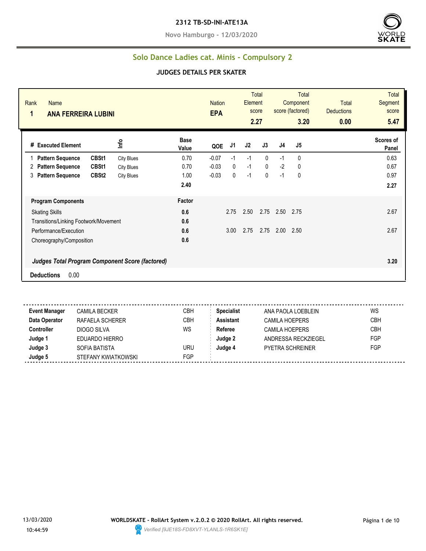#### **2312 TB-SD-INI-ATE13A**

**Novo Hamburgo - 12/03/2020**



#### **Solo Dance Ladies cat. Minis - Compulsory 2**

#### **JUDGES DETAILS PER SKATER**

| Rank<br><b>Name</b><br>1<br><b>ANA FERREIRA LUBINI</b>                              |                   |                      | <b>Nation</b><br><b>EPA</b> |      | Element | <b>Total</b><br>score<br>2.27 |      | <b>Total</b><br>Component<br>score (factored)<br>3.20 | <b>Total</b><br><b>Deductions</b><br>0.00 | <b>Total</b><br>Segment<br>score<br>5.47 |
|-------------------------------------------------------------------------------------|-------------------|----------------------|-----------------------------|------|---------|-------------------------------|------|-------------------------------------------------------|-------------------------------------------|------------------------------------------|
| # Executed Element                                                                  | Info              | <b>Base</b><br>Value | QOE                         | J1   | J2      | J3                            | J4   | J5                                                    |                                           | Scores of<br>Panel                       |
| CBSt1<br><b>Pattern Sequence</b>                                                    | <b>City Blues</b> | 0.70                 | $-0.07$                     | $-1$ | $-1$    | $\mathbf{0}$                  | $-1$ | 0                                                     |                                           | 0.63                                     |
| <b>Pattern Sequence</b><br>CBSt1<br>2                                               | <b>City Blues</b> | 0.70                 | $-0.03$                     | 0    | $-1$    | $\mathbf 0$                   | $-2$ | $\mathbf{0}$                                          |                                           | 0.67                                     |
| CBSt <sub>2</sub><br>3<br><b>Pattern Sequence</b>                                   | <b>City Blues</b> | 1.00                 | $-0.03$                     | 0    | $-1$    | $\mathbf{0}$                  | $-1$ | 0                                                     |                                           | 0.97                                     |
|                                                                                     |                   | 2.40                 |                             |      |         |                               |      |                                                       |                                           | 2.27                                     |
| <b>Program Components</b>                                                           |                   | Factor               |                             |      |         |                               |      |                                                       |                                           |                                          |
| <b>Skating Skills</b>                                                               |                   | 0.6                  |                             | 2.75 | 2.50    | 2.75                          | 2.50 | 2.75                                                  |                                           | 2.67                                     |
| Transitions/Linking Footwork/Movement                                               |                   | 0.6                  |                             |      |         |                               |      |                                                       |                                           |                                          |
| Performance/Execution                                                               |                   | 0.6                  |                             | 3.00 | 2.75    | 2.75                          | 2.00 | 2.50                                                  |                                           | 2.67                                     |
| Choreography/Composition                                                            |                   | 0.6                  |                             |      |         |                               |      |                                                       |                                           |                                          |
| <b>Judges Total Program Component Score (factored)</b><br>0.00<br><b>Deductions</b> |                   |                      |                             |      |         |                               |      |                                                       |                                           | 3.20                                     |

**Event Manager** CAMILA BECKER CBH **Specialist** ANA PAOLA LOEBLEIN WS **Data Operator** RAFAELA SCHERER CBH **Assistant** CAMILA HOEPERS CBH **Controller** DIOGO SILVA WS Referee CAMILA HOEPERS CBH **Judge 1** EDUARDO HIERRO **Judge 2** ANDRESSA RECKZIEGEL FGP **Judge 3** SOFIA BATISTA URU **Judge 4** PYETRA SCHREINER FGP **Judge 5** STEFANY KWIATKOWSKI STEP

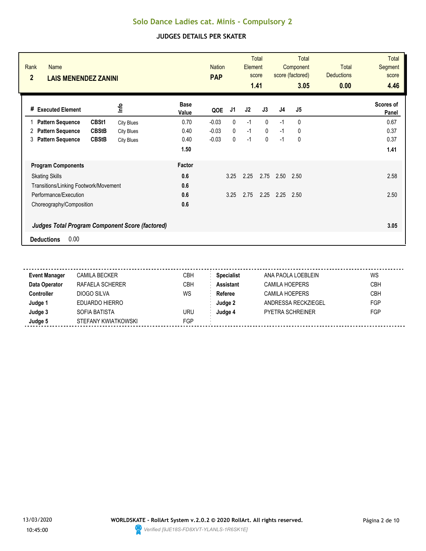| Rank<br><b>Name</b><br>$\overline{2}$<br><b>LAIS MENENDEZ ZANINI</b> |                   |                      | <b>Nation</b><br><b>PAP</b> |              | Element | <b>Total</b><br>score<br>1.41 |                | Total<br>Component<br>score (factored)<br>3.05 | <b>Total</b><br><b>Deductions</b><br>0.00 | <b>Total</b><br>Segment<br>score<br>4.46 |
|----------------------------------------------------------------------|-------------------|----------------------|-----------------------------|--------------|---------|-------------------------------|----------------|------------------------------------------------|-------------------------------------------|------------------------------------------|
| <b>Executed Element</b><br>#                                         | ٩ų                | <b>Base</b><br>Value | QOE                         | J1           | J2      | J3                            | J <sub>4</sub> | J5                                             |                                           | Scores of<br>Panel                       |
| CBSt1<br><b>Pattern Sequence</b>                                     | <b>City Blues</b> | 0.70                 | $-0.03$                     | $\mathbf{0}$ | $-1$    | $\mathbf{0}$                  | $-1$           | 0                                              |                                           | 0.67                                     |
| <b>CBStB</b><br><b>Pattern Sequence</b><br>2                         | <b>City Blues</b> | 0.40                 | $-0.03$                     | $\mathbf{0}$ | $-1$    | $\mathbf{0}$                  | $-1$           | 0                                              |                                           | 0.37                                     |
| <b>Pattern Sequence</b><br><b>CBStB</b><br>3                         | <b>City Blues</b> | 0.40                 | $-0.03$                     | $\mathbf{0}$ | $-1$    | $\mathbf 0$                   | $-1$           | 0                                              |                                           | 0.37                                     |
|                                                                      |                   | 1.50                 |                             |              |         |                               |                |                                                |                                           | 1.41                                     |
| <b>Program Components</b>                                            |                   | Factor               |                             |              |         |                               |                |                                                |                                           |                                          |
| <b>Skating Skills</b>                                                |                   | 0.6                  |                             | 3.25         | 2.25    | 2.75                          | 2.50           | 2.50                                           |                                           | 2.58                                     |
| Transitions/Linking Footwork/Movement                                |                   | 0.6                  |                             |              |         |                               |                |                                                |                                           |                                          |
| Performance/Execution                                                |                   | 0.6                  |                             | 3.25         | 2.75    | 2.25                          | 2.25           | 2.50                                           |                                           | 2.50                                     |
| Choreography/Composition                                             |                   | 0.6                  |                             |              |         |                               |                |                                                |                                           |                                          |
| <b>Judges Total Program Component Score (factored)</b>               |                   |                      |                             |              |         |                               |                |                                                |                                           | 3.05                                     |
| 0.00<br><b>Deductions</b>                                            |                   |                      |                             |              |         |                               |                |                                                |                                           |                                          |

| <b>Event Manager</b> | <b>CAMILA BECKER</b> | СВН        | <b>Specialist</b> | ANA PAOLA LOEBLEIN      | WS         |
|----------------------|----------------------|------------|-------------------|-------------------------|------------|
| Data Operator        | RAFAELA SCHERER      | CBH        | <b>Assistant</b>  | CAMILA HOEPERS          | <b>CBH</b> |
| <b>Controller</b>    | DIOGO SILVA          | WS         | Referee           | <b>CAMILA HOEPERS</b>   | <b>CBH</b> |
| Judge 1              | EDUARDO HIERRO       |            | Judge 2           | ANDRESSA RECKZIEGEL     | FGP        |
| Judge 3              | SOFIA BATISTA        | uru        | Judge 4           | <b>PYETRA SCHREINER</b> | FGP        |
| Judge 5              | STEFANY KWIATKOWSKI  | <b>FGP</b> |                   |                         |            |

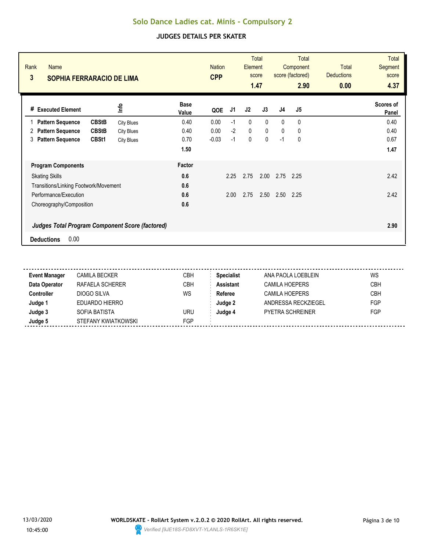| Rank<br><b>Name</b><br>3                               | <b>SOPHIA FERRARACIO DE LIMA</b> |                      |         | <b>Total</b><br><b>Nation</b><br><b>Element</b><br>score<br><b>CPP</b><br>1.47 |             |              | <b>Total</b><br>Component<br>score (factored)<br>2.90 |                | <b>Total</b><br><b>Deductions</b><br>0.00 | <b>Total</b><br><b>Segment</b><br>score<br>4.37 |
|--------------------------------------------------------|----------------------------------|----------------------|---------|--------------------------------------------------------------------------------|-------------|--------------|-------------------------------------------------------|----------------|-------------------------------------------|-------------------------------------------------|
| <b>Executed Element</b><br>#                           | lnfo                             | <b>Base</b><br>Value | QOE     | J1                                                                             | J2          | J3           | J <sub>4</sub>                                        | J <sub>5</sub> |                                           | Scores of<br>Panel                              |
| <b>CBStB</b><br><b>Pattern Sequence</b>                | <b>City Blues</b>                | 0.40                 | 0.00    | $-1$                                                                           | 0           | $\mathbf{0}$ | $\Omega$                                              | 0              |                                           | 0.40                                            |
| <b>CBStB</b><br><b>Pattern Sequence</b><br>2           | <b>City Blues</b>                | 0.40                 | 0.00    | $-2$                                                                           | $\mathbf 0$ | $\mathbf 0$  | 0                                                     | 0              |                                           | 0.40                                            |
| <b>Pattern Sequence</b><br>CBSt1<br>3                  | <b>City Blues</b>                | 0.70                 | $-0.03$ | $-1$                                                                           | 0           | $\mathbf 0$  | $-1$                                                  | 0              |                                           | 0.67                                            |
|                                                        |                                  | 1.50                 |         |                                                                                |             |              |                                                       |                |                                           | 1.47                                            |
| <b>Program Components</b>                              |                                  | Factor               |         |                                                                                |             |              |                                                       |                |                                           |                                                 |
| <b>Skating Skills</b>                                  |                                  | 0.6                  |         | 2.25                                                                           | 2.75        | 2.00         | 2.75                                                  | 2.25           |                                           | 2.42                                            |
| Transitions/Linking Footwork/Movement                  |                                  | 0.6                  |         |                                                                                |             |              |                                                       |                |                                           |                                                 |
| Performance/Execution                                  |                                  | 0.6                  |         | 2.00                                                                           | 2.75        | 2.50         | 2.50                                                  | 2.25           |                                           | 2.42                                            |
| Choreography/Composition                               |                                  | 0.6                  |         |                                                                                |             |              |                                                       |                |                                           |                                                 |
| <b>Judges Total Program Component Score (factored)</b> |                                  |                      |         |                                                                                |             |              |                                                       |                |                                           | 2.90                                            |
| 0.00<br><b>Deductions</b>                              |                                  |                      |         |                                                                                |             |              |                                                       |                |                                           |                                                 |

| <b>Event Manager</b> | CAMILA BECKER       | CBH        | <b>Specialist</b> | ANA PAOLA LOEBLEIN      | WS         |
|----------------------|---------------------|------------|-------------------|-------------------------|------------|
| Data Operator        | RAFAELA SCHERER     | CBH        | <b>Assistant</b>  | CAMILA HOEPERS          | <b>CBH</b> |
| Controller           | DIOGO SILVA         | WS         | Referee           | <b>CAMILA HOEPERS</b>   | <b>CBH</b> |
| Judge 1              | EDUARDO HIERRO      |            | Judge 2           | ANDRESSA RECKZIEGEL     | FGP        |
| Judge 3              | SOFIA BATISTA       | URU        | Judge 4           | <b>PYETRA SCHREINER</b> | FGP        |
| Judge 5              | STEFANY KWIATKOWSKI | <b>FGP</b> |                   |                         |            |

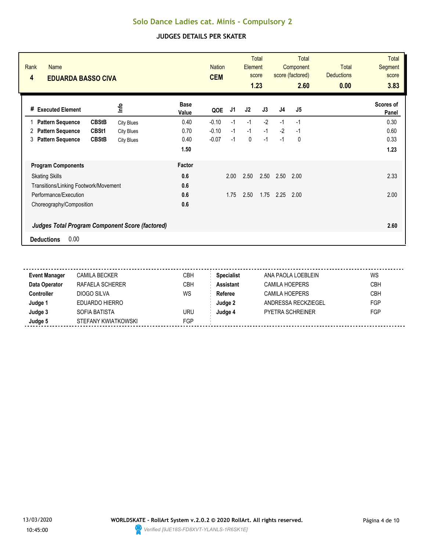| Rank<br><b>Name</b><br>4<br><b>EDUARDA BASSO CIVA</b>  |                   |                      | <b>Nation</b><br><b>CEM</b> |      | Element        | <b>Total</b><br>score<br>1.23 |                | <b>Total</b><br>Component<br>score (factored)<br>2.60 | <b>Total</b><br><b>Deductions</b><br>0.00 | <b>Total</b><br>Segment<br>score<br>3.83 |
|--------------------------------------------------------|-------------------|----------------------|-----------------------------|------|----------------|-------------------------------|----------------|-------------------------------------------------------|-------------------------------------------|------------------------------------------|
| <b>Executed Element</b><br>#                           | 울                 | <b>Base</b><br>Value | QOE                         | J1   | J <sub>2</sub> | J3                            | J <sub>4</sub> | J5                                                    |                                           | Scores of<br>Panel                       |
| <b>CBStB</b><br><b>Pattern Sequence</b>                | <b>City Blues</b> | 0.40                 | $-0.10$                     | $-1$ | $-1$           | $-2$                          | $-1$           | $-1$                                                  |                                           | 0.30                                     |
| CBSt1<br><b>Pattern Sequence</b><br>2                  | <b>City Blues</b> | 0.70                 | $-0.10$                     | $-1$ | $-1$           | $-1$                          | $-2$           | -1                                                    |                                           | 0.60                                     |
| <b>Pattern Sequence</b><br><b>CBStB</b><br>3           | <b>City Blues</b> | 0.40                 | $-0.07$                     | $-1$ | 0              | $-1$                          | $-1$           | 0                                                     |                                           | 0.33                                     |
|                                                        |                   | 1.50                 |                             |      |                |                               |                |                                                       |                                           | 1.23                                     |
| <b>Program Components</b>                              |                   | Factor               |                             |      |                |                               |                |                                                       |                                           |                                          |
| <b>Skating Skills</b>                                  |                   | 0.6                  |                             | 2.00 | 2.50           | 2.50                          | 2.50           | 2.00                                                  |                                           | 2.33                                     |
| Transitions/Linking Footwork/Movement                  |                   | 0.6                  |                             |      |                |                               |                |                                                       |                                           |                                          |
| Performance/Execution                                  |                   | 0.6                  |                             | 1.75 | 2.50           | 1.75                          | 2.25           | 2.00                                                  |                                           | 2.00                                     |
| Choreography/Composition                               |                   | 0.6                  |                             |      |                |                               |                |                                                       |                                           |                                          |
| <b>Judges Total Program Component Score (factored)</b> |                   |                      |                             |      |                |                               |                |                                                       |                                           | 2.60                                     |
| 0.00<br><b>Deductions</b>                              |                   |                      |                             |      |                |                               |                |                                                       |                                           |                                          |

| <b>CAMILA BECKER</b> | CBH | <b>Specialist</b> | ANA PAOLA LOEBLEIN      | WS         |
|----------------------|-----|-------------------|-------------------------|------------|
| RAFAELA SCHERER      | CBH | <b>Assistant</b>  | CAMILA HOEPERS          | <b>CBH</b> |
| DIOGO SILVA          | WS  | Referee           | CAMILA HOEPERS          | CBH        |
| EDUARDO HIERRO       |     | Judge 2           | ANDRESSA RECKZIEGEL     | FGP        |
| SOFIA BATISTA        | uru | Judge 4           | <b>PYETRA SCHREINER</b> | FGP        |
| STEFANY KWIATKOWSKI  | FGP |                   |                         |            |
|                      |     |                   |                         |            |

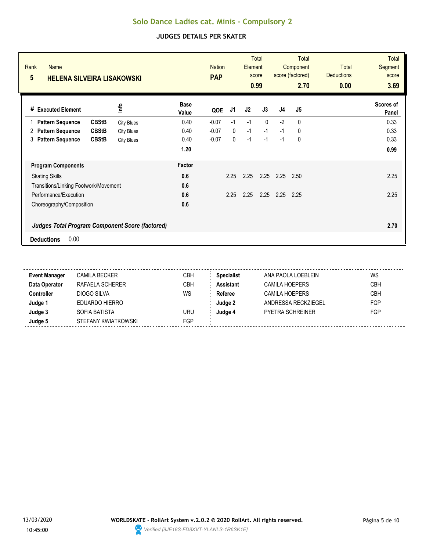| Rank<br><b>Name</b><br>5                               | <b>HELENA SILVEIRA LISAKOWSKI</b> |                      |         | <b>Total</b><br><b>Nation</b><br>Element<br>score<br><b>PAP</b><br>0.99 |      |          | <b>Total</b><br>Component<br>score (factored)<br>2.70 |      | <b>Total</b><br><b>Deductions</b><br>0.00 | <b>Total</b><br>Segment<br>score<br>3.69 |
|--------------------------------------------------------|-----------------------------------|----------------------|---------|-------------------------------------------------------------------------|------|----------|-------------------------------------------------------|------|-------------------------------------------|------------------------------------------|
| <b>Executed Element</b><br>#                           | ٩ų                                | <b>Base</b><br>Value | QOE     | J1                                                                      | J2   | J3       | J <sub>4</sub>                                        | J5   |                                           | Scores of<br>Panel                       |
| <b>CBStB</b><br><b>Pattern Sequence</b>                | <b>City Blues</b>                 | 0.40                 | $-0.07$ | $-1$                                                                    | $-1$ | $\Omega$ | $-2$                                                  | 0    |                                           | 0.33                                     |
| <b>CBStB</b><br><b>Pattern Sequence</b><br>2           | <b>City Blues</b>                 | 0.40                 | $-0.07$ | $\mathbf{0}$                                                            | $-1$ | $-1$     | $-1$                                                  | 0    |                                           | 0.33                                     |
| <b>Pattern Sequence</b><br><b>CBStB</b><br>3           | <b>City Blues</b>                 | 0.40                 | $-0.07$ | 0                                                                       | $-1$ | $-1$     | $-1$                                                  | 0    |                                           | 0.33                                     |
|                                                        |                                   | 1.20                 |         |                                                                         |      |          |                                                       |      |                                           | 0.99                                     |
| <b>Program Components</b>                              |                                   | Factor               |         |                                                                         |      |          |                                                       |      |                                           |                                          |
| <b>Skating Skills</b>                                  |                                   | 0.6                  |         | 2.25                                                                    | 2.25 | 2.25     | 2.25                                                  | 2.50 |                                           | 2.25                                     |
| Transitions/Linking Footwork/Movement                  |                                   | 0.6                  |         |                                                                         |      |          |                                                       |      |                                           |                                          |
| Performance/Execution                                  |                                   | 0.6                  |         | 2.25                                                                    | 2.25 | 2.25     | 2.25                                                  | 2.25 |                                           | 2.25                                     |
| Choreography/Composition                               |                                   | 0.6                  |         |                                                                         |      |          |                                                       |      |                                           |                                          |
| <b>Judges Total Program Component Score (factored)</b> |                                   |                      |         |                                                                         |      |          |                                                       |      |                                           | 2.70                                     |
| 0.00<br><b>Deductions</b>                              |                                   |                      |         |                                                                         |      |          |                                                       |      |                                           |                                          |

| <b>Event Manager</b> | <b>CAMILA BECKER</b> | СВН        | <b>Specialist</b> | ANA PAOLA LOEBLEIN      | WS         |
|----------------------|----------------------|------------|-------------------|-------------------------|------------|
| Data Operator        | RAFAELA SCHERER      | CBH        | <b>Assistant</b>  | CAMILA HOEPERS          | <b>CBH</b> |
| <b>Controller</b>    | DIOGO SILVA          | WS         | Referee           | <b>CAMILA HOEPERS</b>   | <b>CBH</b> |
| Judge 1              | EDUARDO HIERRO       |            | Judge 2           | ANDRESSA RECKZIEGEL     | FGP        |
| Judge 3              | SOFIA BATISTA        | uru        | Judge 4           | <b>PYETRA SCHREINER</b> | FGP        |
| Judge 5              | STEFANY KWIATKOWSKI  | <b>FGP</b> |                   |                         |            |

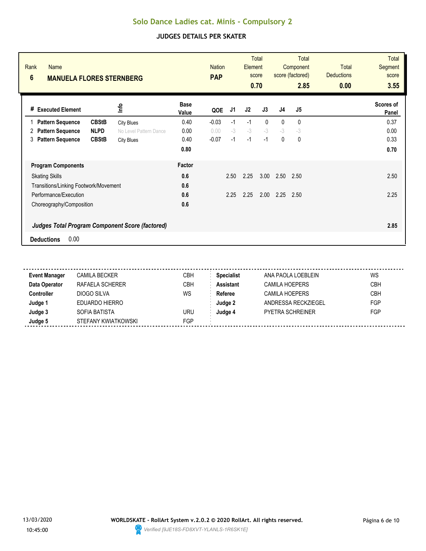| Rank<br><b>Name</b><br>$6\phantom{1}$                  | <b>MANUELA FLORES STERNBERG</b> |                        |                      | <b>PAP</b> | <b>Nation</b> |                | <b>Total</b><br>Element<br>score<br>0.70 |                | Total<br>Component<br>score (factored)<br>2.85 | <b>Total</b><br><b>Deductions</b><br>0.00 | <b>Total</b><br>Segment<br>score<br>3.55 |
|--------------------------------------------------------|---------------------------------|------------------------|----------------------|------------|---------------|----------------|------------------------------------------|----------------|------------------------------------------------|-------------------------------------------|------------------------------------------|
| <b>Executed Element</b><br>#                           |                                 | 울                      | <b>Base</b><br>Value | QOE        | J1            | J <sub>2</sub> | J3                                       | J <sub>4</sub> | J5                                             |                                           | Scores of<br>Panel                       |
| <b>Pattern Sequence</b>                                | <b>CBStB</b>                    | <b>City Blues</b>      | 0.40                 | $-0.03$    | $-1$          | $-1$           | $\mathbf{0}$                             | $\mathbf{0}$   | 0                                              |                                           | 0.37                                     |
| <b>Pattern Sequence</b><br>2                           | <b>NLPD</b>                     | No Level Pattern Dance | 0.00                 | 0.00       | $-3$          | $-3$           | $-3$                                     | $-3$           | $-3$                                           |                                           | 0.00                                     |
| <b>Pattern Sequence</b><br>3                           | <b>CBStB</b>                    | <b>City Blues</b>      | 0.40                 | $-0.07$    | $-1$          | $-1$           | $-1$                                     | 0              | 0                                              |                                           | 0.33                                     |
|                                                        |                                 |                        | 0.80                 |            |               |                |                                          |                |                                                |                                           | 0.70                                     |
| <b>Program Components</b>                              |                                 |                        | Factor               |            |               |                |                                          |                |                                                |                                           |                                          |
| <b>Skating Skills</b>                                  |                                 |                        | 0.6                  |            | 2.50          | 2.25           | 3.00                                     | 2.50           | 2.50                                           |                                           | 2.50                                     |
| Transitions/Linking Footwork/Movement                  |                                 |                        | 0.6                  |            |               |                |                                          |                |                                                |                                           |                                          |
| Performance/Execution                                  |                                 |                        | 0.6                  |            | 2.25          | 2.25           | 2.00                                     | 2.25           | 2.50                                           |                                           | 2.25                                     |
| Choreography/Composition                               |                                 |                        | 0.6                  |            |               |                |                                          |                |                                                |                                           |                                          |
| <b>Judges Total Program Component Score (factored)</b> |                                 |                        |                      |            |               |                |                                          |                |                                                |                                           | 2.85                                     |
| 0.00<br><b>Deductions</b>                              |                                 |                        |                      |            |               |                |                                          |                |                                                |                                           |                                          |

| <b>Event Manager</b> | <b>CAMILA BECKER</b> | СВН        | <b>Specialist</b> | ANA PAOLA LOEBLEIN      | WS         |
|----------------------|----------------------|------------|-------------------|-------------------------|------------|
| Data Operator        | RAFAELA SCHERER      | CBH        | <b>Assistant</b>  | CAMILA HOEPERS          | <b>CBH</b> |
| <b>Controller</b>    | DIOGO SILVA          | WS         | Referee           | <b>CAMILA HOEPERS</b>   | <b>CBH</b> |
| Judge 1              | EDUARDO HIERRO       |            | Judge 2           | ANDRESSA RECKZIEGEL     | FGP        |
| Judge 3              | SOFIA BATISTA        | uru        | Judge 4           | <b>PYETRA SCHREINER</b> | FGP        |
| Judge 5              | STEFANY KWIATKOWSKI  | <b>FGP</b> |                   |                         |            |

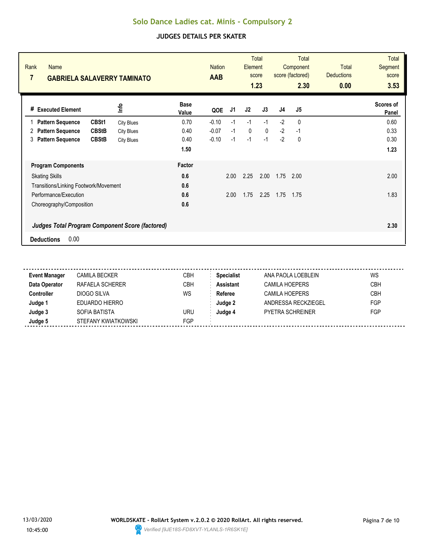| Rank<br><b>Name</b><br>7                                          | <b>GABRIELA SALAVERRY TAMINATO</b> |                 |             | <b>Total</b><br><b>Element</b><br>score<br>1.23 | <b>Total</b><br>Component<br>score (factored)<br>2.30 |                | <b>Total</b><br><b>Deductions</b><br>0.00 | <b>Total</b><br><b>Segment</b><br>score<br>3.53 |
|-------------------------------------------------------------------|------------------------------------|-----------------|-------------|-------------------------------------------------|-------------------------------------------------------|----------------|-------------------------------------------|-------------------------------------------------|
| lnfo<br><b>Executed Element</b><br>#                              | <b>Base</b><br>Value               | J1<br>QOE       | J2          | J3                                              | J <sub>4</sub>                                        | J <sub>5</sub> |                                           | Scores of<br>Panel                              |
| CBSt1<br><b>Pattern Sequence</b><br><b>City Blues</b>             | 0.70                               | $-0.10$<br>$-1$ | $-1$        | $-1$                                            | $-2$                                                  | $\mathbf{0}$   |                                           | 0.60                                            |
| <b>CBStB</b><br><b>Pattern Sequence</b><br>2<br><b>City Blues</b> | 0.40                               | $-1$<br>$-0.07$ | $\mathbf 0$ | $\mathbf{0}$                                    | $-2$                                                  | $-1$           |                                           | 0.33                                            |
| <b>Pattern Sequence</b><br><b>CBStB</b><br>3<br><b>City Blues</b> | 0.40                               | $-0.10$<br>$-1$ | $-1$        | $-1$                                            | $-2$                                                  | 0              |                                           | 0.30                                            |
|                                                                   | 1.50                               |                 |             |                                                 |                                                       |                |                                           | 1.23                                            |
| <b>Program Components</b>                                         | Factor                             |                 |             |                                                 |                                                       |                |                                           |                                                 |
| <b>Skating Skills</b>                                             | 0.6                                | 2.00            | 2.25        | 2.00                                            | 1.75                                                  | 2.00           |                                           | 2.00                                            |
| Transitions/Linking Footwork/Movement                             | 0.6                                |                 |             |                                                 |                                                       |                |                                           |                                                 |
| Performance/Execution                                             | 0.6                                | 2.00            | 1.75        | 2.25                                            | 1.75                                                  | 1.75           |                                           | 1.83                                            |
| Choreography/Composition                                          | 0.6                                |                 |             |                                                 |                                                       |                |                                           |                                                 |
| <b>Judges Total Program Component Score (factored)</b>            |                                    |                 |             |                                                 |                                                       |                |                                           | 2.30                                            |
| 0.00<br><b>Deductions</b>                                         |                                    |                 |             |                                                 |                                                       |                |                                           |                                                 |

| <b>Event Manager</b> | <b>CAMILA BECKER</b> | СВН        | <b>Specialist</b> | ANA PAOLA LOEBLEIN      | WS         |
|----------------------|----------------------|------------|-------------------|-------------------------|------------|
| Data Operator        | RAFAELA SCHERER      | CBH        | <b>Assistant</b>  | CAMILA HOEPERS          | <b>CBH</b> |
| <b>Controller</b>    | DIOGO SILVA          | WS         | Referee           | <b>CAMILA HOEPERS</b>   | <b>CBH</b> |
| Judge 1              | EDUARDO HIERRO       |            | Judge 2           | ANDRESSA RECKZIEGEL     | FGP        |
| Judge 3              | SOFIA BATISTA        | uru        | Judge 4           | <b>PYETRA SCHREINER</b> | FGP        |
| Judge 5              | STEFANY KWIATKOWSKI  | <b>FGP</b> |                   |                         |            |

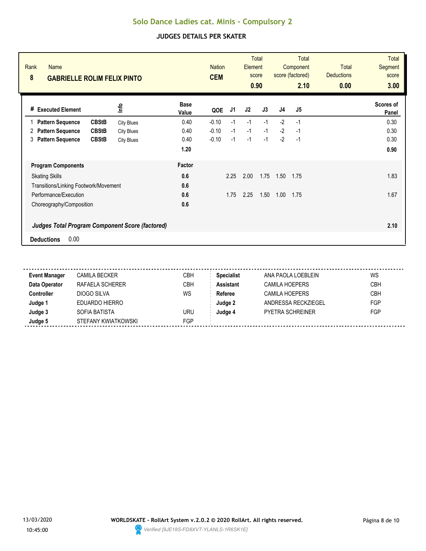| Rank<br><b>Name</b><br>8<br><b>GABRIELLE ROLIM FELIX PINTO</b> |                   |                      | <b>Nation</b><br><b>CEM</b> |      | Element        | <b>Total</b><br>score<br>0.90 |                | Total<br>Component<br>score (factored)<br>2.10 | <b>Total</b><br><b>Deductions</b><br>0.00 | <b>Total</b><br>Segment<br>score<br>3.00 |
|----------------------------------------------------------------|-------------------|----------------------|-----------------------------|------|----------------|-------------------------------|----------------|------------------------------------------------|-------------------------------------------|------------------------------------------|
| <b>Executed Element</b><br>#                                   | ٩ų                | <b>Base</b><br>Value | QOE                         | J1   | J <sub>2</sub> | J3                            | J <sub>4</sub> | J5                                             |                                           | Scores of<br>Panel                       |
| <b>CBStB</b><br><b>Pattern Sequence</b><br>1                   | <b>City Blues</b> | 0.40                 | $-0.10$                     | $-1$ | $-1$           | $-1$                          | $-2$           | $-1$                                           |                                           | 0.30                                     |
| <b>CBStB</b><br><b>Pattern Sequence</b><br>2                   | <b>City Blues</b> | 0.40                 | $-0.10$                     | $-1$ | $-1$           | $-1$                          | $-2$           | $-1$                                           |                                           | 0.30                                     |
| <b>CBStB</b><br><b>Pattern Sequence</b><br>3                   | <b>City Blues</b> | 0.40                 | $-0.10$                     | $-1$ | $-1$           | $-1$                          | $-2$           | $-1$                                           |                                           | 0.30                                     |
|                                                                |                   | 1.20                 |                             |      |                |                               |                |                                                |                                           | 0.90                                     |
| <b>Program Components</b>                                      |                   | Factor               |                             |      |                |                               |                |                                                |                                           |                                          |
| <b>Skating Skills</b>                                          |                   | 0.6                  |                             | 2.25 | 2.00           | 1.75                          | 1.50           | 1.75                                           |                                           | 1.83                                     |
| Transitions/Linking Footwork/Movement                          |                   | 0.6                  |                             |      |                |                               |                |                                                |                                           |                                          |
| Performance/Execution                                          |                   | 0.6                  |                             | 1.75 | 2.25           | 1.50                          | 1.00           | 1.75                                           |                                           | 1.67                                     |
| Choreography/Composition                                       |                   | 0.6                  |                             |      |                |                               |                |                                                |                                           |                                          |
| <b>Judges Total Program Component Score (factored)</b>         |                   |                      |                             |      |                |                               |                |                                                |                                           | 2.10                                     |
| 0.00<br><b>Deductions</b>                                      |                   |                      |                             |      |                |                               |                |                                                |                                           |                                          |

| <b>Event Manager</b> | CAMILA BECKER       | CBH        | <b>Specialist</b> | ANA PAOLA LOEBLEIN      | WS         |
|----------------------|---------------------|------------|-------------------|-------------------------|------------|
| Data Operator        | RAFAELA SCHERER     | CBH        | <b>Assistant</b>  | CAMILA HOEPERS          | <b>CBH</b> |
| Controller           | DIOGO SILVA         | WS         | Referee           | <b>CAMILA HOEPERS</b>   | <b>CBH</b> |
| Judge 1              | EDUARDO HIERRO      |            | Judge 2           | ANDRESSA RECKZIEGEL     | FGP        |
| Judge 3              | SOFIA BATISTA       | URU        | Judge 4           | <b>PYETRA SCHREINER</b> | FGP        |
| Judge 5              | STEFANY KWIATKOWSKI | <b>FGP</b> |                   |                         |            |

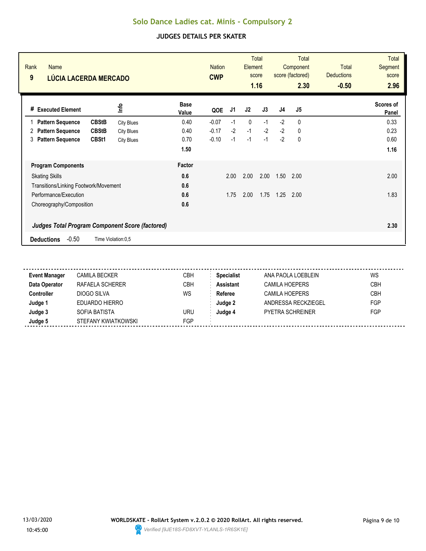| Rank<br><b>Name</b><br>9<br>LÚCIA LACERDA MERCADO      |                    |                      | <b>Nation</b><br><b>CWP</b> |      | <b>Element</b> | <b>Total</b><br>score<br>1.16 |                | <b>Total</b><br>Component<br>score (factored)<br>2.30 | <b>Total</b><br><b>Deductions</b><br>$-0.50$ | <b>Total</b><br><b>Segment</b><br>score<br>2.96 |
|--------------------------------------------------------|--------------------|----------------------|-----------------------------|------|----------------|-------------------------------|----------------|-------------------------------------------------------|----------------------------------------------|-------------------------------------------------|
| <b>Executed Element</b><br>#                           | lnfo               | <b>Base</b><br>Value | QOE                         | J1   | J2             | J3                            | J <sub>4</sub> | J <sub>5</sub>                                        |                                              | Scores of<br>Panel                              |
| <b>CBStB</b><br><b>Pattern Sequence</b>                | <b>City Blues</b>  | 0.40                 | $-0.07$                     | $-1$ | 0              | $-1$                          | $-2$           | 0                                                     |                                              | 0.33                                            |
| <b>CBStB</b><br><b>Pattern Sequence</b><br>2           | <b>City Blues</b>  | 0.40                 | $-0.17$                     | $-2$ | $-1$           | $-2$                          | $-2$           | 0                                                     |                                              | 0.23                                            |
| <b>Pattern Sequence</b><br>CBSt1<br>3                  | <b>City Blues</b>  | 0.70                 | $-0.10$                     | $-1$ | $-1$           | $-1$                          | $-2$           | 0                                                     |                                              | 0.60                                            |
|                                                        |                    | 1.50                 |                             |      |                |                               |                |                                                       |                                              | 1.16                                            |
| <b>Program Components</b>                              |                    | Factor               |                             |      |                |                               |                |                                                       |                                              |                                                 |
| <b>Skating Skills</b>                                  |                    | 0.6                  |                             | 2.00 | 2.00           | 2.00                          | 1.50           | 2.00                                                  |                                              | 2.00                                            |
| Transitions/Linking Footwork/Movement                  |                    | 0.6                  |                             |      |                |                               |                |                                                       |                                              |                                                 |
| Performance/Execution                                  |                    | 0.6                  |                             | 1.75 | 2.00           | 1.75                          | 1.25           | 2.00                                                  |                                              | 1.83                                            |
| Choreography/Composition                               |                    | 0.6                  |                             |      |                |                               |                |                                                       |                                              |                                                 |
| <b>Judges Total Program Component Score (factored)</b> |                    |                      |                             |      |                |                               |                |                                                       |                                              | 2.30                                            |
| $-0.50$<br><b>Deductions</b>                           | Time Violation:0,5 |                      |                             |      |                |                               |                |                                                       |                                              |                                                 |

| <b>Event Manager</b> | <b>CAMILA BECKER</b> | <b>CBH</b> | <b>Specialist</b> | ANA PAOLA LOEBLEIN  | WS         |
|----------------------|----------------------|------------|-------------------|---------------------|------------|
| Data Operator        | RAFAELA SCHERER      | CBH        | <b>Assistant</b>  | CAMILA HOEPERS      | <b>CBH</b> |
| <b>Controller</b>    | DIOGO SILVA          | WS         | Referee           | CAMILA HOEPERS      | <b>CBH</b> |
| Judge 1              | EDUARDO HIERRO       |            | Judge 2           | ANDRESSA RECKZIEGEL | <b>FGP</b> |
| Judge 3              | SOFIA BATISTA        | URU        | Judge 4           | PYETRA SCHREINFR    | FGP        |
| Judge 5              | STEFANY KWIATKOWSKI  | FGP        |                   |                     |            |